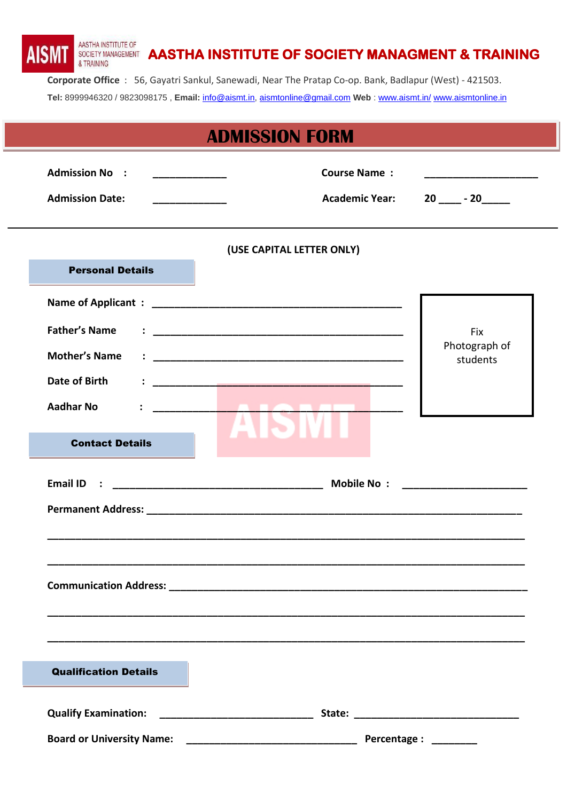AASTHA INSTITUTE OF **AISM** SOCIETY MANAGEMENT **AASTHA INSTITUTE OF SOCIETY MANAGMENT & TRAINING** & TRAINING **Corporate Office** : 56, Gayatri Sankul, Sanewadi, Near The Pratap Co-op. Bank, Badlapur (West) - 421503. **Tel:** 8999946320 / 9823098175 , **Email:** [info@aismt.in,](mailto:info@aismt.in) [aismtonline@gmail.com](mailto:aismtonline@gmail.com) **Web** : [www.aismt.in/](http://www.aismt.in/) [www.aismtonline.in](http://www.aismtonline.in/)

|                                                                                                                                                              | <b>ADMISSION FORM</b>                                       |
|--------------------------------------------------------------------------------------------------------------------------------------------------------------|-------------------------------------------------------------|
| <b>Admission No :</b><br><u> 1989 - Johann Barbara, martin basalar (</u><br><b>Admission Date:</b><br><u> 1989 - Johann John Harry Barnett, fransk konge</u> | <b>Course Name:</b><br><b>Academic Year:</b><br>$20$ $- 20$ |
|                                                                                                                                                              | (USE CAPITAL LETTER ONLY)                                   |
| <b>Personal Details</b>                                                                                                                                      |                                                             |
|                                                                                                                                                              |                                                             |
| <b>Father's Name</b>                                                                                                                                         | <b>Fix</b>                                                  |
| <b>Mother's Name</b>                                                                                                                                         | Photograph of                                               |
| Date of Birth                                                                                                                                                | students                                                    |
| <b>Aadhar No</b>                                                                                                                                             | <b><i><u>ALABATA</u></i></b>                                |
|                                                                                                                                                              |                                                             |
| <b>Contact Details</b>                                                                                                                                       |                                                             |
| <b>Email ID</b><br>$\mathbb{R}^n$                                                                                                                            |                                                             |
|                                                                                                                                                              |                                                             |
|                                                                                                                                                              |                                                             |
|                                                                                                                                                              |                                                             |
|                                                                                                                                                              |                                                             |
|                                                                                                                                                              |                                                             |
|                                                                                                                                                              |                                                             |
| <b>Qualification Details</b>                                                                                                                                 |                                                             |
|                                                                                                                                                              |                                                             |
| <b>Qualify Examination:</b>                                                                                                                                  |                                                             |
| <b>Board or University Name:</b>                                                                                                                             |                                                             |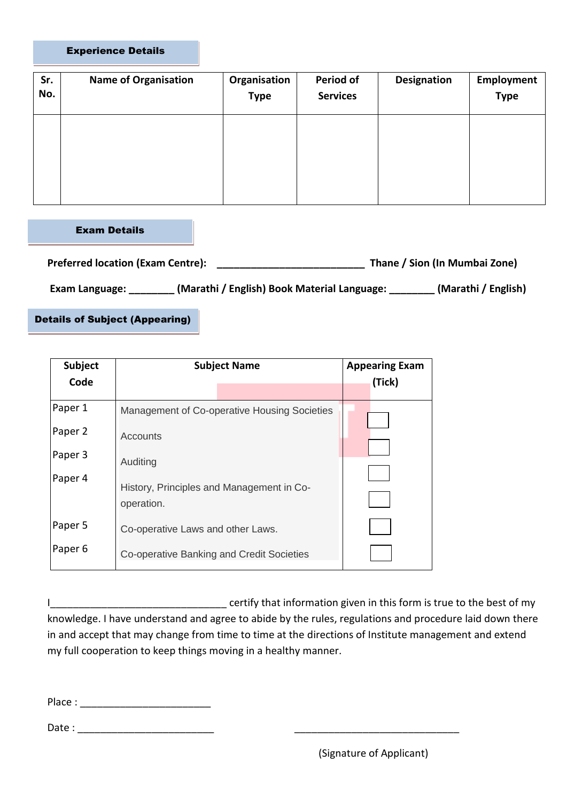## Experience Details

| Sr.<br>No. | <b>Name of Organisation</b> | Organisation<br><b>Type</b> | Period of<br><b>Services</b> | <b>Designation</b> | <b>Employment</b><br><b>Type</b> |
|------------|-----------------------------|-----------------------------|------------------------------|--------------------|----------------------------------|
|            |                             |                             |                              |                    |                                  |
|            |                             |                             |                              |                    |                                  |

Exam Details

| <b>Preferred location (Exam Centre):</b> | Thane / Sion (In Mumbai Zone)               |                     |  |
|------------------------------------------|---------------------------------------------|---------------------|--|
| Exam Language:                           | (Marathi / English) Book Material Language: | (Marathi / English) |  |

Details of Subject (Appearing)

| Subject<br>Code    | <b>Subject Name</b>                          | <b>Appearing Exam</b><br>(Tick) |  |
|--------------------|----------------------------------------------|---------------------------------|--|
|                    |                                              |                                 |  |
| Paper 1            | Management of Co-operative Housing Societies |                                 |  |
| Paper 2            | Accounts                                     |                                 |  |
| Paper 3            | Auditing                                     |                                 |  |
| Paper 4            | History, Principles and Management in Co-    |                                 |  |
|                    | operation.                                   |                                 |  |
| Paper 5            | Co-operative Laws and other Laws.            |                                 |  |
| Paper <sub>6</sub> | Co-operative Banking and Credit Societies    |                                 |  |

I\_\_\_\_\_\_\_\_\_\_\_\_\_\_\_\_\_\_\_\_\_\_\_\_\_\_\_\_\_\_\_ certify that information given in this form is true to the best of my knowledge. I have understand and agree to abide by the rules, regulations and procedure laid down there in and accept that may change from time to time at the directions of Institute management and extend my full cooperation to keep things moving in a healthy manner.

Place :

Date : \_\_\_\_\_\_\_\_\_\_\_\_\_\_\_\_\_\_\_\_\_\_\_\_ \_\_\_\_\_\_\_\_\_\_\_\_\_\_\_\_\_\_\_\_\_\_\_\_\_\_\_\_\_